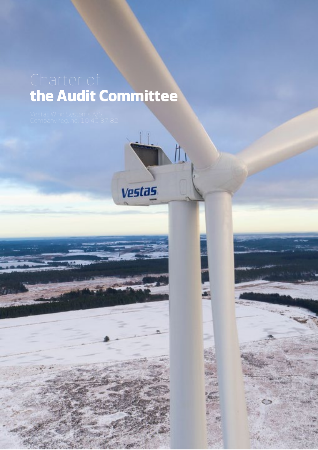# **the Audit Committee**



Classification: Public Accounts

Charter of the Audit Committee| 1

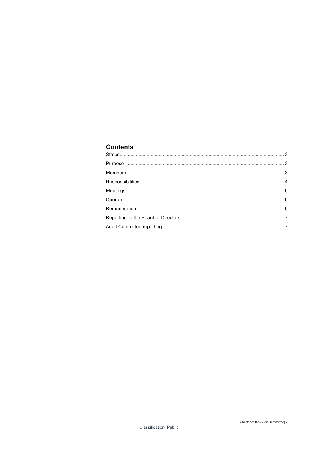# **Contents**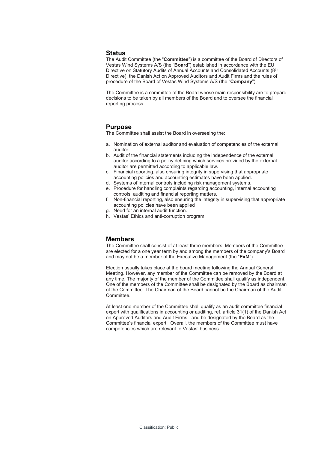### <span id="page-2-0"></span>**Status**

The Audit Committee (the "**Committee**") is a committee of the Board of Directors of Vestas Wind Systems A/S (the "**Board**") established in accordance with the EU Directive on Statutory Audits of Annual Accounts and Consolidated Accounts (8th Directive), the Danish Act on Approved Auditors and Audit Firms and the rules of procedure of the Board of Vestas Wind Systems A/S (the "**Company**").

The Committee is a committee of the Board whose main responsibility are to prepare decisions to be taken by all members of the Board and to oversee the financial reporting process.

## <span id="page-2-1"></span>**Purpose**

The Committee shall assist the Board in overseeing the:

- a. Nomination of external auditor and evaluation of competencies of the external auditor.
- b. Audit of the financial statements including the independence of the external auditor according to a policy defining which services provided by the external auditor are permitted according to applicable law.
- c. Financial reporting, also ensuring integrity in supervising that appropriate accounting policies and accounting estimates have been applied.
- d. Systems of internal controls including risk management systems.
- e. Procedure for handling complaints regarding accounting, internal accounting controls, auditing and financial reporting matters.
- f. Non-financial reporting, also ensuring the integrity in supervising that appropriate accounting policies have been applied
- g. Need for an internal audit function.
- h. Vestas' Ethics and anti-corruption program.

## <span id="page-2-2"></span>**Members**

The Committee shall consist of at least three members. Members of the Committee are elected for a one year term by and among the members of the company's Board and may not be a member of the Executive Management (the "**ExM**").

Election usually takes place at the board meeting following the Annual General Meeting. However, any member of the Committee can be removed by the Board at any time. The majority of the member of the Committee shall qualify as independent. One of the members of the Committee shall be designated by the Board as chairman of the Committee. The Chairman of the Board cannot be the Chairman of the Audit Committee.

At least one member of the Committee shall qualify as an audit committee financial expert with qualifications in accounting or auditing, ref. article 31(1) of the Danish Act on Approved Auditors and Audit Firms - and be designated by the Board as the Committee's financial expert. Overall, the members of the Committee must have competencies which are relevant to Vestas' business.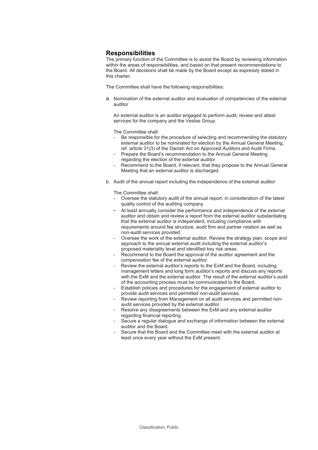# <span id="page-3-0"></span>**Responsibilities**

The primary function of the Committee is to assist the Board by reviewing information within the areas of responsibilities, and based on that present recommendations to the Board. All decisions shall be made by the Board except as expressly stated in this charter.

The Committee shall have the following responsibilities:

a. Nomination of the external auditor and evaluation of competencies of the external auditor

An external auditor is an auditor engaged to perform audit, review and attest services for the company and the Vestas Group.

The Committee shall:

- Be responsible for the procedure of selecting and recommending the statutory external auditor to be nominated for election by the Annual General Meeting, ref. article 31(3) of the Danish Act on Approved Auditors and Audit Firms.
- Prepare the Board's recommendation to the Annual General Meeting regarding the election of the external auditor.
- Recommend to the Board, if relevant, that they propose to the Annual General Meeting that an external auditor is discharged.
- b. Audit of the annual report including the independence of the external auditor

The Committee shall:

- Oversee the statutory audit of the annual report, in consideration of the latest quality control of the auditing company.
- At least annually consider the performance and independence of the external auditor and obtain and review a report from the external auditor substantiating that the external auditor is independent, including compliance with requirements around fee structure, audit firm and partner rotation as well as non-audit services provided.
- Oversee the work of the external auditor. Review the strategy plan, scope and approach to the annual external audit including the external auditor's proposed materiality level and identified key risk areas.
- Recommend to the Board the approval of the auditor agreement and the compensation fee of the external auditor.
- Review the external auditor's reports to the ExM and the Board, including management letters and long form auditor's reports and discuss any reports with the ExM and the external auditor. The result of the external auditor's audit of the accounting process must be communicated to the Board.
- Establish policies and procedures for the engagement of external auditor to provide audit services and permitted non-audit services.
- Review reporting from Management on all audit services and permitted nonaudit services provided by the external auditor.
- Resolve any disagreements between the ExM and any external auditor regarding financial reporting.
- Secure a regular dialogue and exchange of information between the external auditor and the Board.
- Secure that the Board and the Committee meet with the external auditor at least once every year without the ExM present.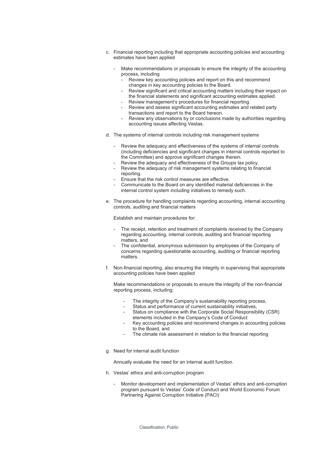- c. Financial reporting including that appropriate accounting policies and accounting estimates have been applied
	- Make recommendations or proposals to ensure the integrity of the accounting process, including
		- Review key accounting policies and report on this and recommend changes in key accounting policies to the Board.
		- Review significant and critical accounting matters including their impact on the financial statements and significant accounting estimates applied.
		- Review management's procedures for financial reporting.
		- Review and assess significant accounting estimates and related party transactions and report to the Board hereon.
		- Review any observations by or conclusions made by authorities regarding accounting issues affecting Vestas.
- d. The systems of internal controls including risk management systems
	- Review the adequacy and effectiveness of the systems of internal controls (including deficiencies and significant changes in internal controls reported to the Committee) and approve significant changes therein.
	- Review the adequacy and effectiveness of the Groups tax policy.
	- Review the adequacy of risk management systems relating to financial reporting.
	- Ensure that the risk control measures are effective.
	- Communicate to the Board on any identified material deficiencies in the internal control system including initiatives to remedy such.
- e. The procedure for handling complaints regarding accounting, internal accounting controls, auditing and financial matters

Establish and maintain procedures for:

- The receipt, retention and treatment of complaints received by the Company regarding accounting, internal controls, auditing and financial reporting matters, and
- The confidential, anonymous submission by employees of the Company of concerns regarding questionable accounting, auditing or financial reporting matters.
- f. Non-financial reporting, also ensuring the integrity in supervising that appropriate accounting policies have been applied

Make recommendations or proposals to ensure the integrity of the non-financial reporting process, including:

- The integrity of the Company's sustainability reporting process,
- Status and performance of current sustainability initiatives,
- Status on compliance with the Corporate Social Responsibility (CSR) elements included in the Company's Code of Conduct
- Key accounting policies and recommend changes in accounting policies to the Board, and
- The climate risk assessment in relation to the financial reporting
- g. Need for internal audit function

Annually evaluate the need for an internal audit function.

- h. Vestas' ethics and anti-corruption program
	- Monitor development and implementation of Vestas' ethics and anti-corruption program pursuant to Vestas' Code of Conduct and World Economic Forum Partnering Against Corruption Initiative (PACI)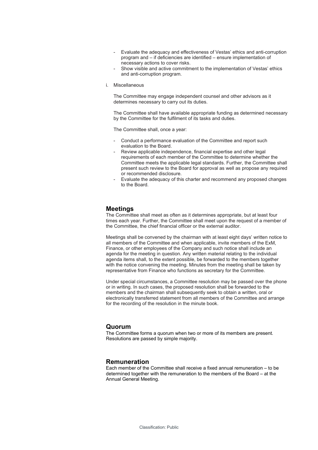- Evaluate the adequacy and effectiveness of Vestas' ethics and anti-corruption program and – if deficiencies are identified – ensure implementation of necessary actions to cover risks.
- Show visible and active commitment to the implementation of Vestas' ethics and anti-corruption program.
- i. Miscellaneous

The Committee may engage independent counsel and other advisors as it determines necessary to carry out its duties.

The Committee shall have available appropriate funding as determined necessary by the Committee for the fulfilment of its tasks and duties.

The Committee shall, once a year:

- Conduct a performance evaluation of the Committee and report such evaluation to the Board.
- Review applicable independence, financial expertise and other legal requirements of each member of the Committee to determine whether the Committee meets the applicable legal standards. Further, the Committee shall present such review to the Board for approval as well as propose any required or recommended disclosure.
- Evaluate the adequacy of this charter and recommend any proposed changes to the Board.

#### <span id="page-5-0"></span>**Meetings**

The Committee shall meet as often as it determines appropriate, but at least four times each year. Further, the Committee shall meet upon the request of a member of the Committee, the chief financial officer or the external auditor.

Meetings shall be convened by the chairman with at least eight days' written notice to all members of the Committee and when applicable, invite members of the ExM, Finance, or other employees of the Company and such notice shall include an agenda for the meeting in question. Any written material relating to the individual agenda items shall, to the extent possible, be forwarded to the members together with the notice convening the meeting. Minutes from the meeting shall be taken by representative from Finance who functions as secretary for the Committee.

Under special circumstances, a Committee resolution may be passed over the phone or in writing. In such cases, the proposed resolution shall be forwarded to the members and the chairman shall subsequently seek to obtain a written, oral or electronically transferred statement from all members of the Committee and arrange for the recording of the resolution in the minute book.

#### <span id="page-5-1"></span>**Quorum**

The Committee forms a quorum when two or more of its members are present. Resolutions are passed by simple majority.

## <span id="page-5-2"></span>**Remuneration**

Each member of the Committee shall receive a fixed annual remuneration – to be determined together with the remuneration to the members of the Board – at the Annual General Meeting.